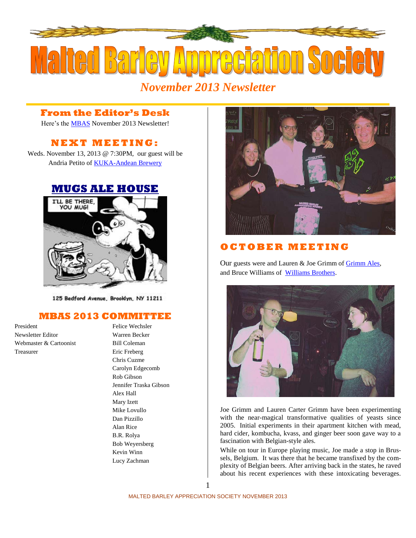

# *November 2013 Newsletter*

### **From the Editor's Desk**

Here's the [MBAS](http://hbd.org/mbas) November 2013 Newsletter!

## **N E X T M E ETI N G :**

Weds. November 13, 2013 @ 7:30PM, our guest will be Andria Petito of [KUKA-Andean Brewery](http://kukablog.com/)

### **[MUGS ALE HOUSE](http://www.mugsalehouse.com/)**



125 Bedford Avenue, Brooklyn, NY 11211

#### **MBAS 2013 COMMITTEE**

President Felice Wechsler Newsletter Editor Warren Becker Webmaster & Cartoonist Bill Coleman Treasurer Eric Freberg

Chris Cuzme Carolyn Edgecomb Rob Gibson Jennifer Traska Gibson Alex Hall Mary Izett Mike Lovullo Dan Pizzillo Alan Rice B.R. Rolya Bob Weyersberg Kevin Winn Lucy Zachman



### **O C T OB E R M E E T I N G**

Our guests were and Lauren & Joe Grimm of [Grimm Ales,](http://grimmales.com/) and Bruce Williams of [Williams Brothers.](http://www.williamsbrosbrew.com/)



Joe Grimm and Lauren Carter Grimm have been experimenting with the near-magical transformative qualities of yeasts since 2005. Initial experiments in their apartment kitchen with mead, hard cider, kombucha, kvass, and ginger beer soon gave way to a fascination with Belgian-style ales.

While on tour in Europe playing music, Joe made a stop in Brussels, Belgium. It was there that he became transfixed by the complexity of Belgian beers. After arriving back in the states, he raved about his recent experiences with these intoxicating beverages.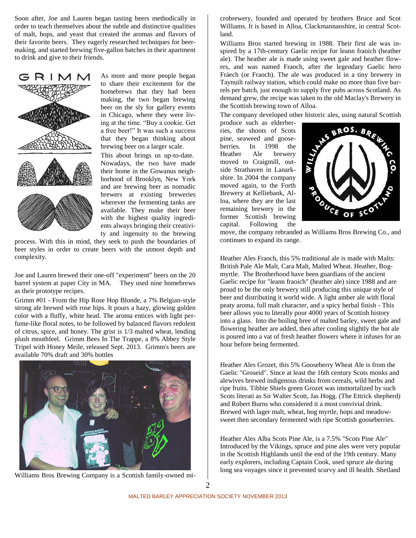Soon after, Joe and Lauren began tasting beers methodically in order to teach themselves about the subtle and distinctive qualities of malt, hops, and yeast that created the aromas and flavors of their favorite beers. They eagerly researched techniques for beermaking, and started brewing five-gallon batches in their apartment to drink and give to their friends.



As more and more people began to share their excitement for the homebrews that they had been making, the two began brewing beer on the sly for gallery events in Chicago, where they were living at the time. "Buy a cookie. Get a free beer!" It was such a success that they began thinking about brewing beer on a larger scale.

This about brings us up-to-date. Nowadays, the two have made their home in the Gowanus neighborhood of Brooklyn, New York and are brewing beer as nomadic brewers at existing breweries wherever the fermenting tanks are available. They make their beer with the highest quality ingredients always bringing their creativity and ingenuity to the brewing

process. With this in mind, they seek to push the boundaries of beer styles in order to create beers with the utmost depth and complexity.

Joe and Lauren brewed their one-off "experiment" beers on the 20 barrel system at paper City in MA. They used nine homebrews as their prototype recipes.

Grimm #01 - From the Hip Rose Hop Blonde, a 7% Belgian-style strong ale brewed with rose hips. It pours a hazy, glowing golden color with a fluffy, white head. The aroma entices with light perfume-like floral notes, to be followed by balanced flavors redolent of citrus, spice, and honey. The grist is 1/3 malted wheat, lending plush mouthfeel. Grimm Bees In The Trappe, a 8% Abbey Style Tripel with Honey Meile, released Sept. 2013. Grimm's beers are available 70% draft and 30% bottles



Williams Bros Brewing Company is a Scottish family-owned mi-

crobrewery, founded and operated by brothers Bruce and Scot Williams. It is based in Alloa, Clackmannanshire, in central Scotland.

Williams Bros started brewing in 1988. Their first ale was inspired by a 17th-century Gaelic recipe for leann fraoich (heather ale). The heather ale is made using sweet gale and heather flowers, and was named Fraoch, after the legendary Gaelic hero Fráech (or Fraoch). The ale was produced in a tiny brewery in Taynuilt railway station, which could make no more than five barrels per batch, just enough to supply five pubs across Scotland. As demand grew, the recipe was taken to the old Maclay's Brewery in the Scottish brewing town of Alloa.

The company developed other historic ales, using natural Scottish

produce such as elderberries, the shoots of Scots pine, seaweed and gooseberries. In 1998 the Heather Ale brewery moved to Craigmill, outside Strathaven in Lanarkshire. In 2004 the company moved again, to the Forth Brewery at Kelliebank, Alloa, where they are the last remaining brewery in the former Scottish brewing capital. Following the



move, the company rebranded as Williams Bros Brewing Co., and continues to expand its range.

Heather Ales Fraoch, this 5% traditional ale is made with Malts: British Pale Ale Malt, Cara Malt, Malted Wheat. Heather, Bogmyrtle. The Brotherhood have been guardians of the ancient Gaelic recipe for "leann fraoich" (heather ale) since 1988 and are proud to be the only brewery still producing this unique style of beer and distributing it world wide. A light amber ale with floral peaty aroma, full malt character, and a spicy herbal finish - This beer allows you to literally pour 4000 years of Scottish history into a glass. Into the boiling bree of malted barley, sweet gale and flowering heather are added, then after cooling slightly the hot ale is poured into a vat of fresh heather flowers where it infuses for an hour before being fermented.

Heather Ales Grozet, this 5% Gooseberry Wheat Ale is from the Gaelic "Groseid". Since at least the 16th century Scots monks and alewives brewed indigenous drinks from cereals, wild herbs and ripe fruits. Tibbie Shiels green Grozet was immortalized by such Scots literati as Sir Walter Scott, Jas Hogg. (The Ettrick shepherd) and Robert Burns who considered it a most convivial drink. Brewed with lager malt, wheat, bog myrtle, hops and meadowsweet then secondary fermented with ripe Scottish gooseberries.

Heather Ales Alba Scots Pine Ale, is a 7.5% "Scots Pine Ale" Introduced by the Vikings, spruce and pine ales were very popular in the Scottish Highlands until the end of the 19th century. Many early explorers, including Captain Cook, used spruce ale during long sea voyages since it prevented scurvy and ill health. Shetland